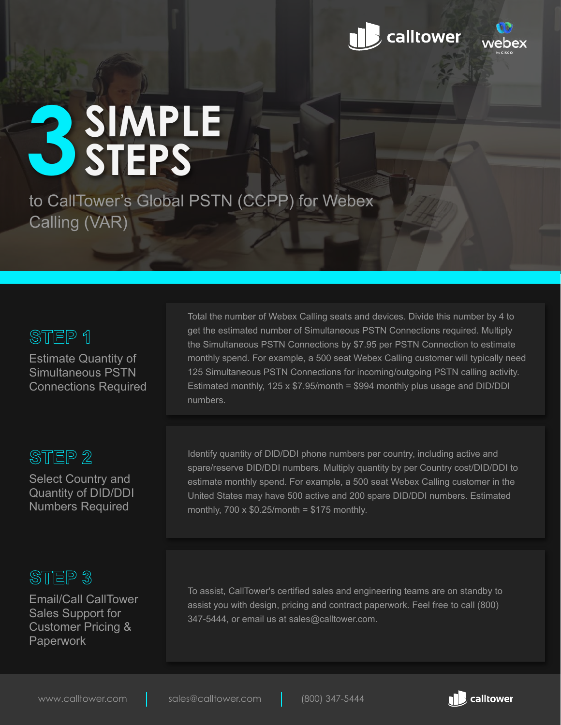



# **SIMPLE 3STEPS**

to CallTower's Global PSTN (CCPP) for Webex Calling (VAR)

# STEP 1

Estimate Quantity of Simultaneous PSTN Connections Required

# STEP<sub>2</sub>

Select Country and Quantity of DID/DDI Numbers Required

# STEP<sub>3</sub>

Email/Call CallTower Sales Support for Customer Pricing & Paperwork

Total the number of Webex Calling seats and devices. Divide this number by 4 to get the estimated number of Simultaneous PSTN Connections required. Multiply the Simultaneous PSTN Connections by \$7.95 per PSTN Connection to estimate monthly spend. For example, a 500 seat Webex Calling customer will typically need 125 Simultaneous PSTN Connections for incoming/outgoing PSTN calling activity. Estimated monthly,  $125 \times $7.95$ /month = \$994 monthly plus usage and DID/DDI numbers.

Identify quantity of DID/DDI phone numbers per country, including active and spare/reserve DID/DDI numbers. Multiply quantity by per Country cost/DID/DDI to estimate monthly spend. For example, a 500 seat Webex Calling customer in the United States may have 500 active and 200 spare DID/DDI numbers. Estimated monthly,  $700 \times $0.25$ /month = \$175 monthly.

To assist, CallTower's certified sales and engineering teams are on standby to assist you with design, pricing and contract paperwork. Feel free to call (800) 347-5444, or email us at sales@calltower.com.